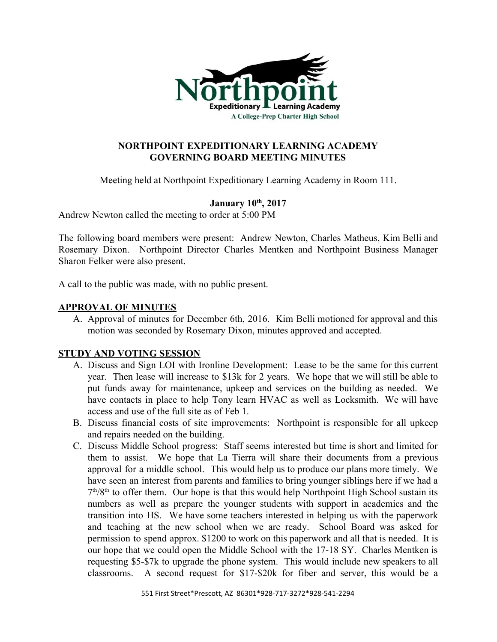

# **NORTHPOINT EXPEDITIONARY LEARNING ACADEMY GOVERNING BOARD MEETING MINUTES**

Meeting held at Northpoint Expeditionary Learning Academy in Room 111.

# **January 10 th , 2017**

Andrew Newton called the meeting to order at 5:00 PM

The following board members were present: Andrew Newton, Charles Matheus, Kim Belli and Rosemary Dixon. Northpoint Director Charles Mentken and Northpoint Business Manager Sharon Felker were also present.

A call to the public was made, with no public present.

## **APPROVAL OF MINUTES**

A. Approval of minutes for December 6th, 2016. Kim Belli motioned for approval and this motion was seconded by Rosemary Dixon, minutes approved and accepted.

## **STUDY AND VOTING SESSION**

- A. Discuss and Sign LOI with Ironline Development: Lease to be the same for this current year. Then lease will increase to \$13k for 2 years. We hope that we will still be able to put funds away for maintenance, upkeep and services on the building as needed. We have contacts in place to help Tony learn HVAC as well as Locksmith. We will have access and use of the full site as of Feb 1.
- B. Discuss financial costs of site improvements: Northpoint is responsible for all upkeep and repairs needed on the building.
- C. Discuss Middle School progress: Staff seems interested but time is short and limited for them to assist. We hope that La Tierra will share their documents from a previous approval for a middle school. This would help us to produce our plans more timely. We have seen an interest from parents and families to bring younger siblings here if we had a  $7<sup>th</sup>/8<sup>th</sup>$  to offer them. Our hope is that this would help Northpoint High School sustain its numbers as well as prepare the younger students with support in academics and the transition into HS. We have some teachers interested in helping us with the paperwork and teaching at the new school when we are ready. School Board was asked for permission to spend approx. \$1200 to work on this paperwork and all that is needed. It is our hope that we could open the Middle School with the 17-18 SY. Charles Mentken is requesting \$5-\$7k to upgrade the phone system. This would include new speakers to all classrooms. A second request for \$17-\$20k for fiber and server, this would be a